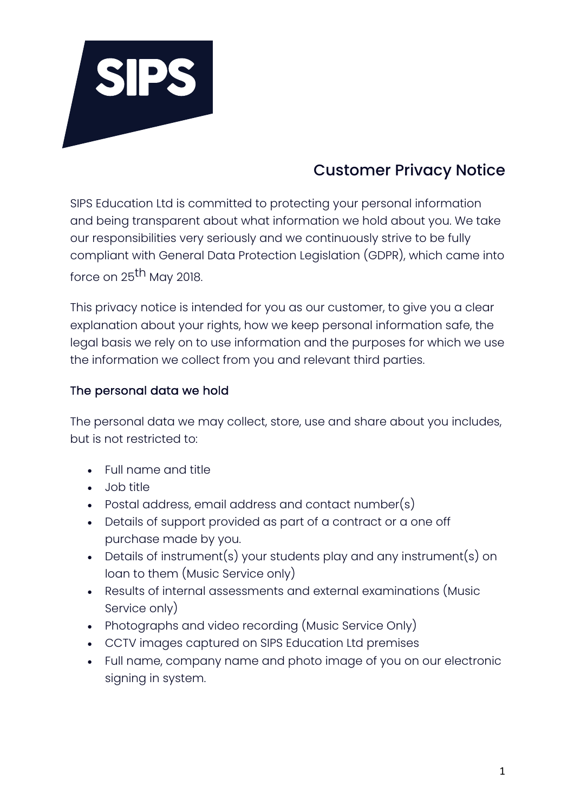

# Customer Privacy Notice

SIPS Education Ltd is committed to protecting your personal information and being transparent about what information we hold about you. We take our responsibilities very seriously and we continuously strive to be fully compliant with General Data Protection Legislation (GDPR), which came into force on 25<sup>th</sup> May 2018.

This privacy notice is intended for you as our customer, to give you a clear explanation about your rights, how we keep personal information safe, the legal basis we rely on to use information and the purposes for which we use the information we collect from you and relevant third parties.

## The personal data we hold

The personal data we may collect, store, use and share about you includes, but is not restricted to:

- Full name and title
- Job title
- Postal address, email address and contact number(s)
- Details of support provided as part of a contract or a one off purchase made by you.
- Details of instrument(s) your students play and any instrument(s) on loan to them (Music Service only)
- Results of internal assessments and external examinations (Music Service only)
- Photographs and video recording (Music Service Only)
- CCTV images captured on SIPS Education Ltd premises
- Full name, company name and photo image of you on our electronic signing in system.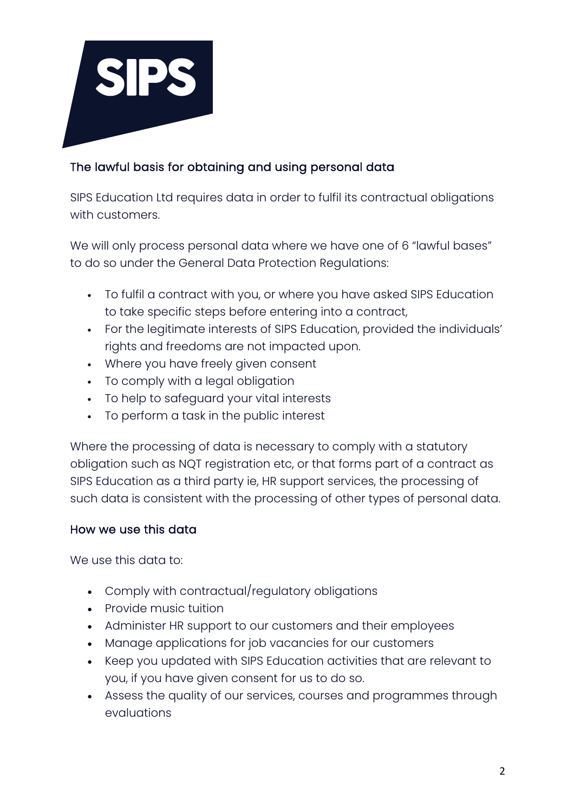

## The lawful basis for obtaining and using personal data

SIPS Education Ltd requires data in order to fulfil its contractual obligations with customers.

We will only process personal data where we have one of 6 "lawful bases" to do so under the General Data Protection Regulations:

- To fulfil a contract with you, or where you have asked SIPS Education to take specific steps before entering into a contract,
- For the legitimate interests of SIPS Education, provided the individuals' rights and freedoms are not impacted upon.
- Where you have freely given consent
- To comply with a legal obligation
- To help to safeguard your vital interests
- To perform a task in the public interest

Where the processing of data is necessary to comply with a statutory obligation such as NQT registration etc, or that forms part of a contract as SIPS Education as a third party ie, HR support services, the processing of such data is consistent with the processing of other types of personal data.

### How we use this data

We use this data to:

- Comply with contractual/regulatory obligations
- Provide music tuition
- Administer HR support to our customers and their employees
- Manage applications for job vacancies for our customers
- Keep you updated with SIPS Education activities that are relevant to you, if you have given consent for us to do so.
- Assess the quality of our services, courses and programmes through evaluations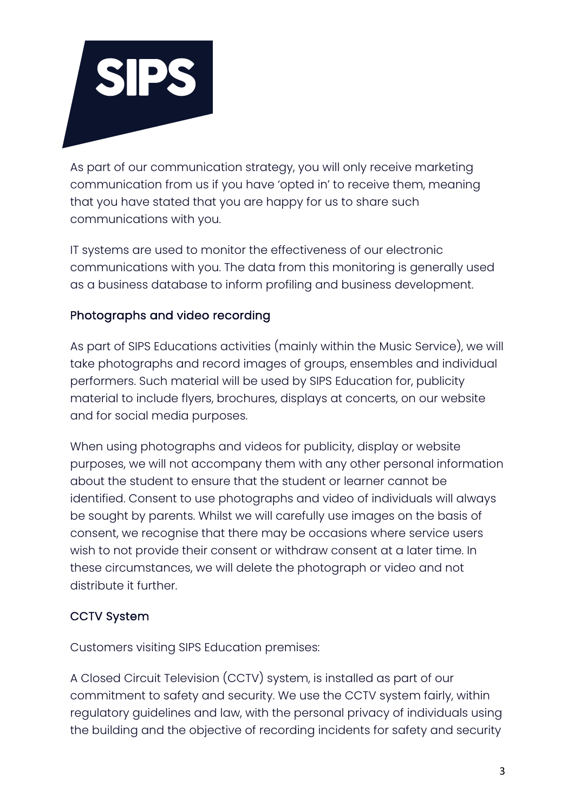

As part of our communication strategy, you will only receive marketing communication from us if you have 'opted in' to receive them, meaning that you have stated that you are happy for us to share such communications with you.

IT systems are used to monitor the effectiveness of our electronic communications with you. The data from this monitoring is generally used as a business database to inform profiling and business development.

## Photographs and video recording

As part of SIPS Educations activities (mainly within the Music Service), we will take photographs and record images of groups, ensembles and individual performers. Such material will be used by SIPS Education for, publicity material to include flyers, brochures, displays at concerts, on our website and for social media purposes.

When using photographs and videos for publicity, display or website purposes, we will not accompany them with any other personal information about the student to ensure that the student or learner cannot be identified. Consent to use photographs and video of individuals will always be sought by parents. Whilst we will carefully use images on the basis of consent, we recognise that there may be occasions where service users wish to not provide their consent or withdraw consent at a later time. In these circumstances, we will delete the photograph or video and not distribute it further.

### CCTV System

Customers visiting SIPS Education premises:

A Closed Circuit Television (CCTV) system, is installed as part of our commitment to safety and security. We use the CCTV system fairly, within regulatory guidelines and law, with the personal privacy of individuals using the building and the objective of recording incidents for safety and security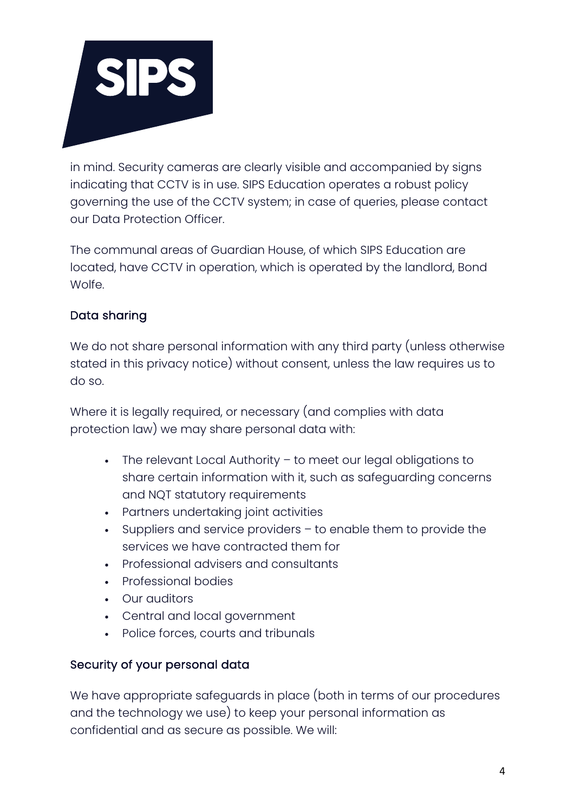

in mind. Security cameras are clearly visible and accompanied by signs indicating that CCTV is in use. SIPS Education operates a robust policy governing the use of the CCTV system; in case of queries, please contact our Data Protection Officer.

The communal areas of Guardian House, of which SIPS Education are located, have CCTV in operation, which is operated by the landlord, Bond Wolfe.

## Data sharing

We do not share personal information with any third party (unless otherwise stated in this privacy notice) without consent, unless the law requires us to do so.

Where it is legally required, or necessary (and complies with data protection law) we may share personal data with:

- The relevant Local Authority to meet our legal obligations to share certain information with it, such as safeguarding concerns and NQT statutory requirements
- Partners undertaking joint activities
- Suppliers and service providers to enable them to provide the services we have contracted them for
- Professional advisers and consultants
- Professional bodies
- Our auditors
- Central and local government
- Police forces, courts and tribunals

### Security of your personal data

We have appropriate safeguards in place (both in terms of our procedures and the technology we use) to keep your personal information as confidential and as secure as possible. We will: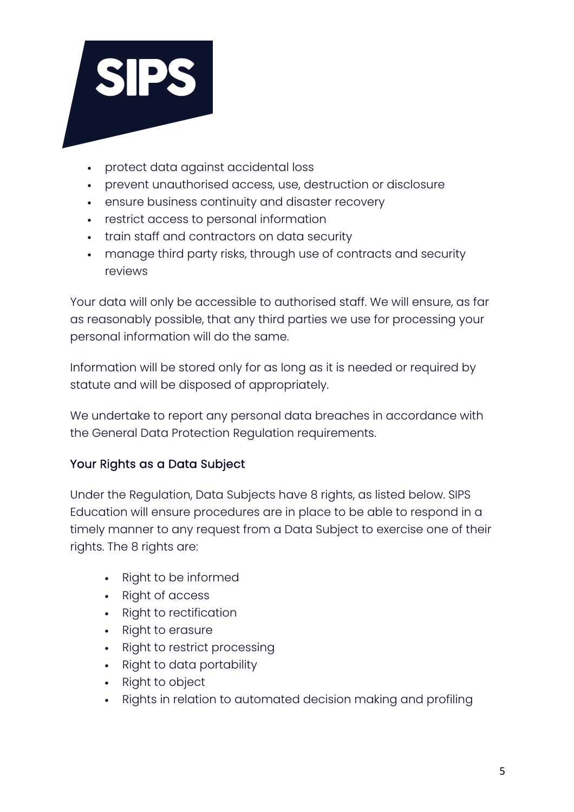

- protect data against accidental loss
- prevent unauthorised access, use, destruction or disclosure
- ensure business continuity and disaster recovery
- restrict access to personal information
- train staff and contractors on data security
- manage third party risks, through use of contracts and security reviews

Your data will only be accessible to authorised staff. We will ensure, as far as reasonably possible, that any third parties we use for processing your personal information will do the same.

Information will be stored only for as long as it is needed or required by statute and will be disposed of appropriately.

We undertake to report any personal data breaches in accordance with the General Data Protection Regulation requirements.

## Your Rights as a Data Subject

Under the Regulation, Data Subjects have 8 rights, as listed below. SIPS Education will ensure procedures are in place to be able to respond in a timely manner to any request from a Data Subject to exercise one of their rights. The 8 rights are:

- Right to be informed
- Right of access
- Right to rectification
- Right to erasure
- Right to restrict processing
- Right to data portability
- Right to object
- Rights in relation to automated decision making and profiling